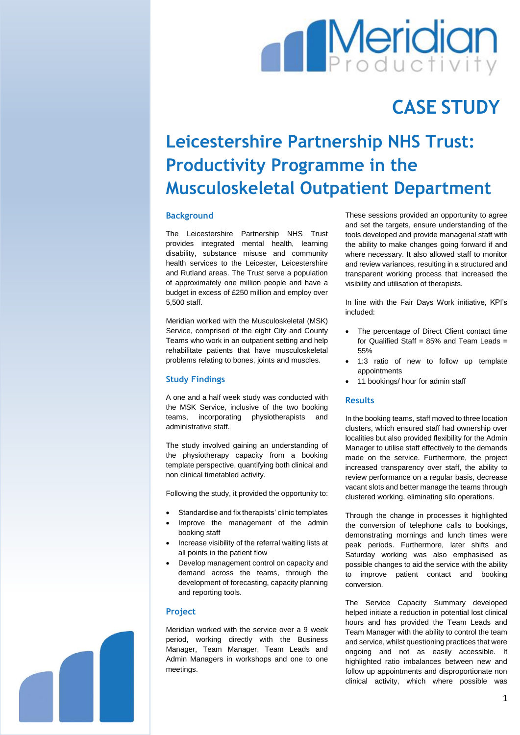# **Meridian**

## **CASE STUDY**

### **Leicestershire Partnership NHS Trust: Productivity Programme in the Musculoskeletal Outpatient Department**

#### **Background**

The Leicestershire Partnership NHS Trust provides integrated mental health, learning disability, substance misuse and community health services to the Leicester, Leicestershire and Rutland areas. The Trust serve a population of approximately one million people and have a budget in excess of £250 million and employ over 5,500 staff.

Meridian worked with the Musculoskeletal (MSK) Service, comprised of the eight City and County Teams who work in an outpatient setting and help rehabilitate patients that have musculoskeletal problems relating to bones, joints and muscles.

#### **Study Findings**

A one and a half week study was conducted with the MSK Service, inclusive of the two booking teams, incorporating physiotherapists and administrative staff.

The study involved gaining an understanding of the physiotherapy capacity from a booking template perspective, quantifying both clinical and non clinical timetabled activity.

Following the study, it provided the opportunity to:

- Standardise and fix therapists' clinic templates
- Improve the management of the admin booking staff
- Increase visibility of the referral waiting lists at all points in the patient flow
- Develop management control on capacity and demand across the teams, through the development of forecasting, capacity planning and reporting tools.

#### **Project**

Meridian worked with the service over a 9 week period, working directly with the Business Manager, Team Manager, Team Leads and Admin Managers in workshops and one to one meetings.

These sessions provided an opportunity to agree and set the targets, ensure understanding of the tools developed and provide managerial staff with the ability to make changes going forward if and where necessary. It also allowed staff to monitor and review variances, resulting in a structured and transparent working process that increased the visibility and utilisation of therapists.

In line with the Fair Days Work initiative, KPI's included:

- The percentage of Direct Client contact time for Qualified Staff =  $85\%$  and Team Leads = 55%
- 1:3 ratio of new to follow up template appointments
- 11 bookings/ hour for admin staff

#### **Results**

In the booking teams, staff moved to three location clusters, which ensured staff had ownership over localities but also provided flexibility for the Admin Manager to utilise staff effectively to the demands made on the service. Furthermore, the project increased transparency over staff, the ability to review performance on a regular basis, decrease vacant slots and better manage the teams through clustered working, eliminating silo operations.

Through the change in processes it highlighted the conversion of telephone calls to bookings, demonstrating mornings and lunch times were peak periods. Furthermore, later shifts and Saturday working was also emphasised as possible changes to aid the service with the ability to improve patient contact and booking conversion.

The Service Capacity Summary developed helped initiate a reduction in potential lost clinical hours and has provided the Team Leads and Team Manager with the ability to control the team and service, whilst questioning practices that were ongoing and not as easily accessible. It highlighted ratio imbalances between new and follow up appointments and disproportionate non clinical activity, which where possible was